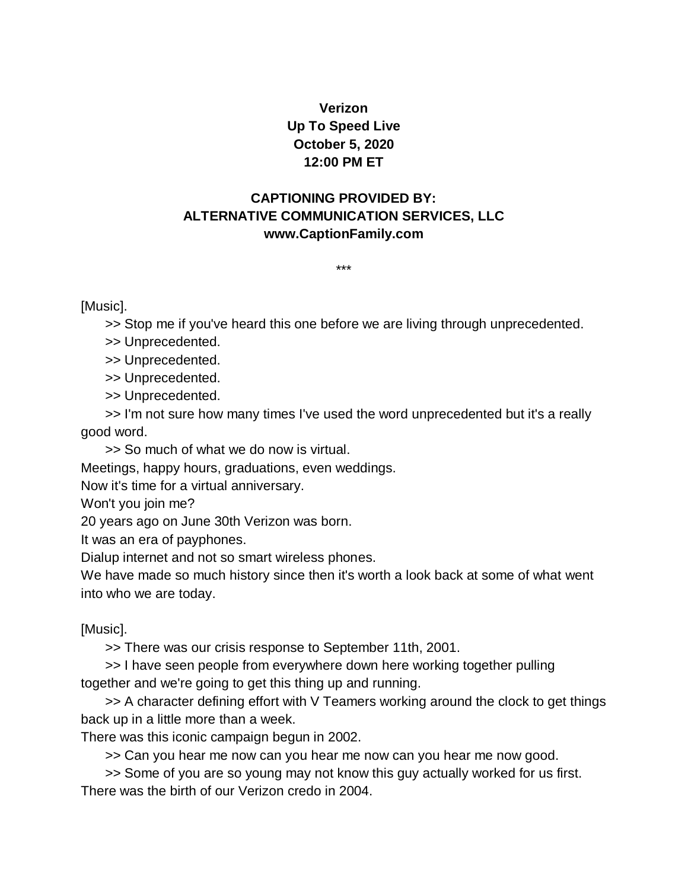## **Verizon Up To Speed Live October 5, 2020 12:00 PM ET**

## **CAPTIONING PROVIDED BY: ALTERNATIVE COMMUNICATION SERVICES, LLC www.CaptionFamily.com**

\*\*\*

[Music].

>> Stop me if you've heard this one before we are living through unprecedented.

>> Unprecedented.

>> Unprecedented.

>> Unprecedented.

>> Unprecedented.

>> I'm not sure how many times I've used the word unprecedented but it's a really good word.

>> So much of what we do now is virtual.

Meetings, happy hours, graduations, even weddings.

Now it's time for a virtual anniversary.

Won't you join me?

20 years ago on June 30th Verizon was born.

It was an era of payphones.

Dialup internet and not so smart wireless phones.

We have made so much history since then it's worth a look back at some of what went into who we are today.

[Music].

>> There was our crisis response to September 11th, 2001.

>> I have seen people from everywhere down here working together pulling together and we're going to get this thing up and running.

>> A character defining effort with V Teamers working around the clock to get things back up in a little more than a week.

There was this iconic campaign begun in 2002.

>> Can you hear me now can you hear me now can you hear me now good.

>> Some of you are so young may not know this guy actually worked for us first. There was the birth of our Verizon credo in 2004.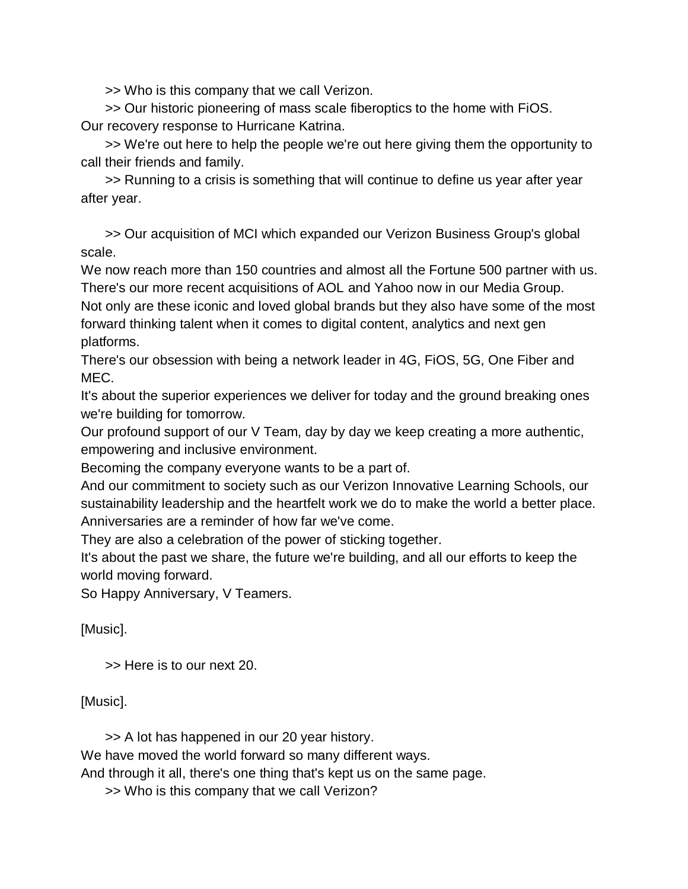>> Who is this company that we call Verizon.

>> Our historic pioneering of mass scale fiberoptics to the home with FiOS. Our recovery response to Hurricane Katrina.

>> We're out here to help the people we're out here giving them the opportunity to call their friends and family.

>> Running to a crisis is something that will continue to define us year after year after year.

>> Our acquisition of MCI which expanded our Verizon Business Group's global scale.

We now reach more than 150 countries and almost all the Fortune 500 partner with us. There's our more recent acquisitions of AOL and Yahoo now in our Media Group.

Not only are these iconic and loved global brands but they also have some of the most forward thinking talent when it comes to digital content, analytics and next gen platforms.

There's our obsession with being a network leader in 4G, FiOS, 5G, One Fiber and MEC.

It's about the superior experiences we deliver for today and the ground breaking ones we're building for tomorrow.

Our profound support of our V Team, day by day we keep creating a more authentic, empowering and inclusive environment.

Becoming the company everyone wants to be a part of.

And our commitment to society such as our Verizon Innovative Learning Schools, our sustainability leadership and the heartfelt work we do to make the world a better place. Anniversaries are a reminder of how far we've come.

They are also a celebration of the power of sticking together.

It's about the past we share, the future we're building, and all our efforts to keep the world moving forward.

So Happy Anniversary, V Teamers.

[Music].

>> Here is to our next 20.

[Music].

>> A lot has happened in our 20 year history.

We have moved the world forward so many different ways.

And through it all, there's one thing that's kept us on the same page.

>> Who is this company that we call Verizon?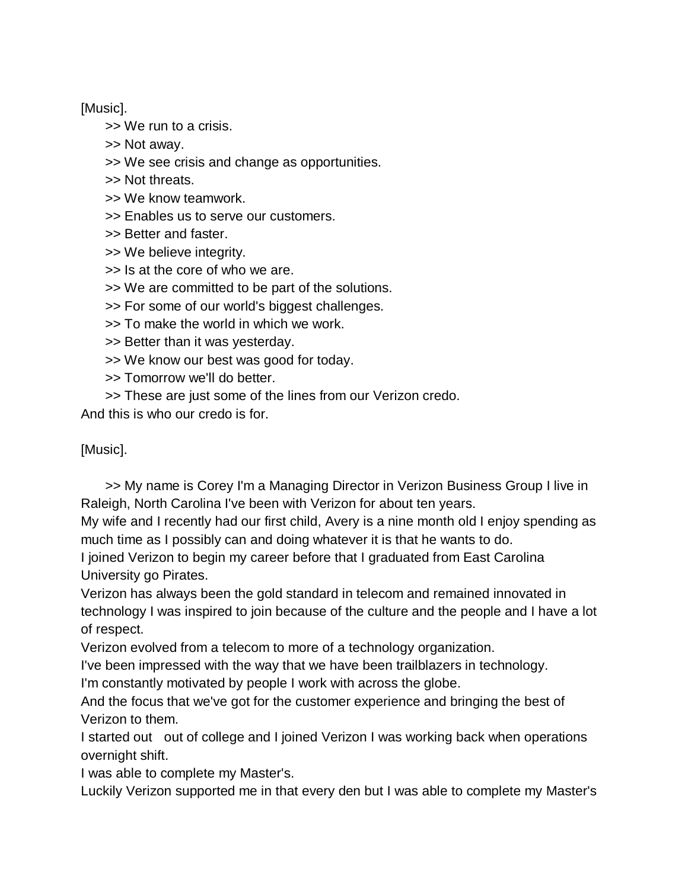[Music].

>> We run to a crisis.

>> Not away.

>> We see crisis and change as opportunities.

- >> Not threats.
- >> We know teamwork.
- >> Enables us to serve our customers.
- >> Better and faster.
- >> We believe integrity.
- >> Is at the core of who we are.
- >> We are committed to be part of the solutions.
- >> For some of our world's biggest challenges.
- >> To make the world in which we work.
- >> Better than it was yesterday.
- >> We know our best was good for today.
- >> Tomorrow we'll do better.
- >> These are just some of the lines from our Verizon credo.

And this is who our credo is for.

[Music].

>> My name is Corey I'm a Managing Director in Verizon Business Group I live in Raleigh, North Carolina I've been with Verizon for about ten years.

My wife and I recently had our first child, Avery is a nine month old I enjoy spending as much time as I possibly can and doing whatever it is that he wants to do.

I joined Verizon to begin my career before that I graduated from East Carolina University go Pirates.

Verizon has always been the gold standard in telecom and remained innovated in technology I was inspired to join because of the culture and the people and I have a lot of respect.

Verizon evolved from a telecom to more of a technology organization.

I've been impressed with the way that we have been trailblazers in technology.

I'm constantly motivated by people I work with across the globe.

And the focus that we've got for the customer experience and bringing the best of Verizon to them.

I started out out of college and I joined Verizon I was working back when operations overnight shift.

I was able to complete my Master's.

Luckily Verizon supported me in that every den but I was able to complete my Master's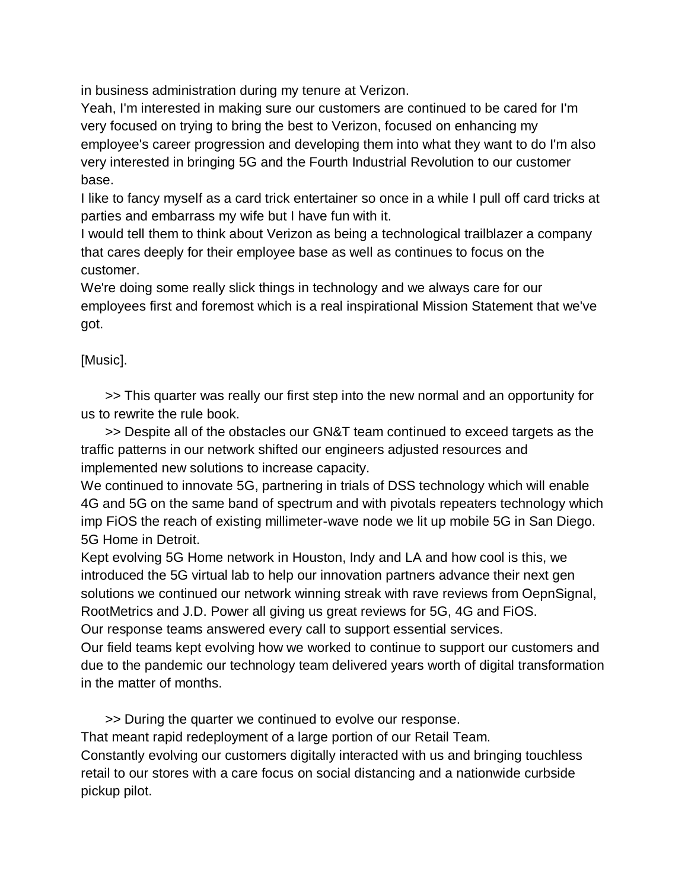in business administration during my tenure at Verizon.

Yeah, I'm interested in making sure our customers are continued to be cared for I'm very focused on trying to bring the best to Verizon, focused on enhancing my employee's career progression and developing them into what they want to do I'm also very interested in bringing 5G and the Fourth Industrial Revolution to our customer base.

I like to fancy myself as a card trick entertainer so once in a while I pull off card tricks at parties and embarrass my wife but I have fun with it.

I would tell them to think about Verizon as being a technological trailblazer a company that cares deeply for their employee base as well as continues to focus on the customer.

We're doing some really slick things in technology and we always care for our employees first and foremost which is a real inspirational Mission Statement that we've got.

## [Music].

>> This quarter was really our first step into the new normal and an opportunity for us to rewrite the rule book.

>> Despite all of the obstacles our GN&T team continued to exceed targets as the traffic patterns in our network shifted our engineers adjusted resources and implemented new solutions to increase capacity.

We continued to innovate 5G, partnering in trials of DSS technology which will enable 4G and 5G on the same band of spectrum and with pivotals repeaters technology which imp FiOS the reach of existing millimeter-wave node we lit up mobile 5G in San Diego. 5G Home in Detroit.

Kept evolving 5G Home network in Houston, Indy and LA and how cool is this, we introduced the 5G virtual lab to help our innovation partners advance their next gen solutions we continued our network winning streak with rave reviews from OepnSignal, RootMetrics and J.D. Power all giving us great reviews for 5G, 4G and FiOS. Our response teams answered every call to support essential services.

Our field teams kept evolving how we worked to continue to support our customers and due to the pandemic our technology team delivered years worth of digital transformation in the matter of months.

>> During the quarter we continued to evolve our response. That meant rapid redeployment of a large portion of our Retail Team. Constantly evolving our customers digitally interacted with us and bringing touchless retail to our stores with a care focus on social distancing and a nationwide curbside pickup pilot.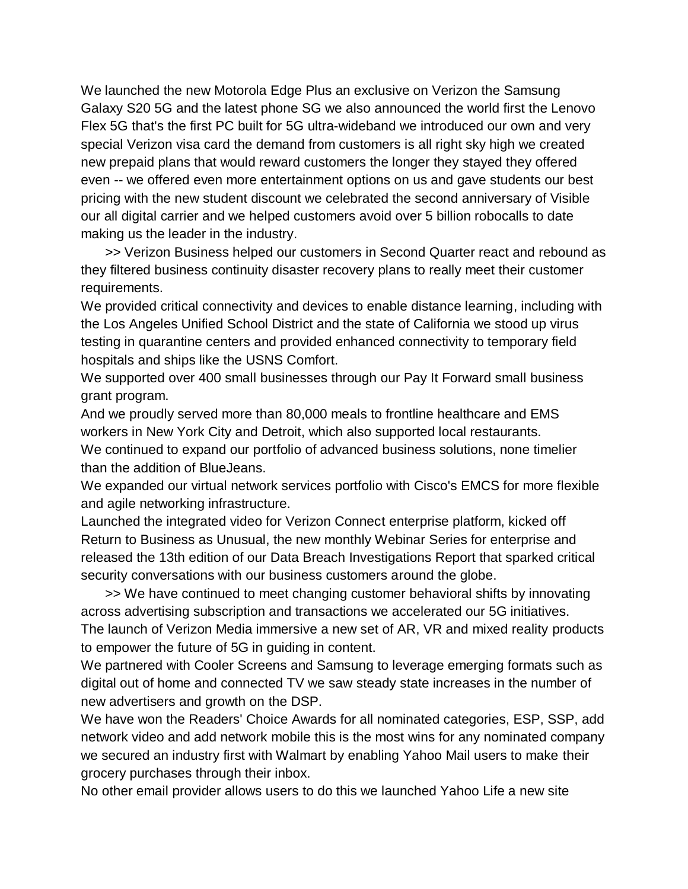We launched the new Motorola Edge Plus an exclusive on Verizon the Samsung Galaxy S20 5G and the latest phone SG we also announced the world first the Lenovo Flex 5G that's the first PC built for 5G ultra-wideband we introduced our own and very special Verizon visa card the demand from customers is all right sky high we created new prepaid plans that would reward customers the longer they stayed they offered even -- we offered even more entertainment options on us and gave students our best pricing with the new student discount we celebrated the second anniversary of Visible our all digital carrier and we helped customers avoid over 5 billion robocalls to date making us the leader in the industry.

>> Verizon Business helped our customers in Second Quarter react and rebound as they filtered business continuity disaster recovery plans to really meet their customer requirements.

We provided critical connectivity and devices to enable distance learning, including with the Los Angeles Unified School District and the state of California we stood up virus testing in quarantine centers and provided enhanced connectivity to temporary field hospitals and ships like the USNS Comfort.

We supported over 400 small businesses through our Pay It Forward small business grant program.

And we proudly served more than 80,000 meals to frontline healthcare and EMS workers in New York City and Detroit, which also supported local restaurants. We continued to expand our portfolio of advanced business solutions, none timelier than the addition of BlueJeans.

We expanded our virtual network services portfolio with Cisco's EMCS for more flexible and agile networking infrastructure.

Launched the integrated video for Verizon Connect enterprise platform, kicked off Return to Business as Unusual, the new monthly Webinar Series for enterprise and released the 13th edition of our Data Breach Investigations Report that sparked critical security conversations with our business customers around the globe.

>> We have continued to meet changing customer behavioral shifts by innovating across advertising subscription and transactions we accelerated our 5G initiatives. The launch of Verizon Media immersive a new set of AR, VR and mixed reality products to empower the future of 5G in guiding in content.

We partnered with Cooler Screens and Samsung to leverage emerging formats such as digital out of home and connected TV we saw steady state increases in the number of new advertisers and growth on the DSP.

We have won the Readers' Choice Awards for all nominated categories, ESP, SSP, add network video and add network mobile this is the most wins for any nominated company we secured an industry first with Walmart by enabling Yahoo Mail users to make their grocery purchases through their inbox.

No other email provider allows users to do this we launched Yahoo Life a new site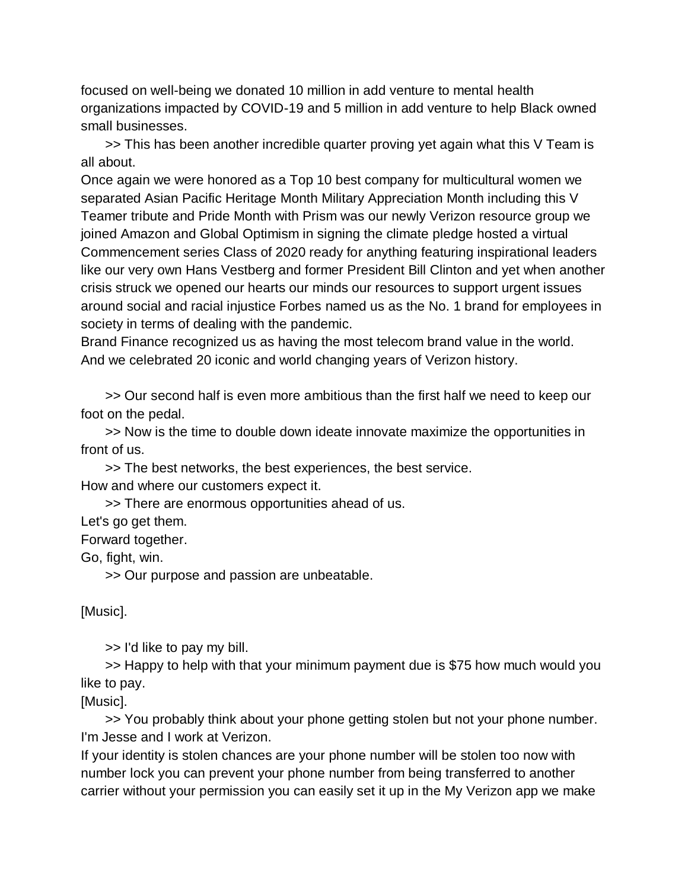focused on well-being we donated 10 million in add venture to mental health organizations impacted by COVID-19 and 5 million in add venture to help Black owned small businesses.

>> This has been another incredible quarter proving yet again what this V Team is all about.

Once again we were honored as a Top 10 best company for multicultural women we separated Asian Pacific Heritage Month Military Appreciation Month including this V Teamer tribute and Pride Month with Prism was our newly Verizon resource group we joined Amazon and Global Optimism in signing the climate pledge hosted a virtual Commencement series Class of 2020 ready for anything featuring inspirational leaders like our very own Hans Vestberg and former President Bill Clinton and yet when another crisis struck we opened our hearts our minds our resources to support urgent issues around social and racial injustice Forbes named us as the No. 1 brand for employees in society in terms of dealing with the pandemic.

Brand Finance recognized us as having the most telecom brand value in the world. And we celebrated 20 iconic and world changing years of Verizon history.

>> Our second half is even more ambitious than the first half we need to keep our foot on the pedal.

>> Now is the time to double down ideate innovate maximize the opportunities in front of us.

>> The best networks, the best experiences, the best service. How and where our customers expect it.

>> There are enormous opportunities ahead of us.

Let's go get them.

Forward together.

Go, fight, win.

>> Our purpose and passion are unbeatable.

[Music].

>> I'd like to pay my bill.

>> Happy to help with that your minimum payment due is \$75 how much would you like to pay.

[Music].

>> You probably think about your phone getting stolen but not your phone number. I'm Jesse and I work at Verizon.

If your identity is stolen chances are your phone number will be stolen too now with number lock you can prevent your phone number from being transferred to another carrier without your permission you can easily set it up in the My Verizon app we make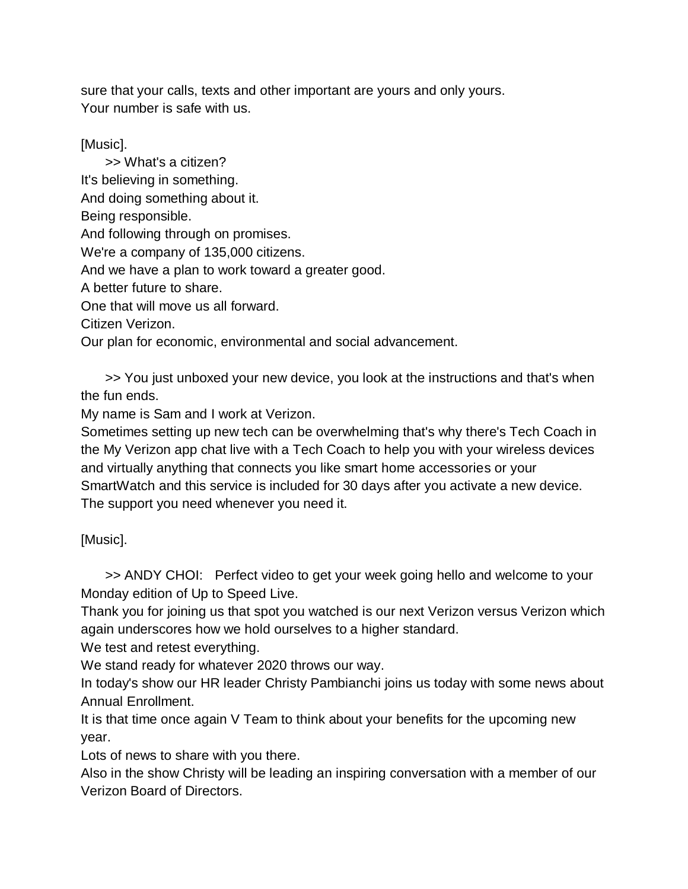sure that your calls, texts and other important are yours and only yours. Your number is safe with us.

[Music].

>> What's a citizen? It's believing in something. And doing something about it. Being responsible. And following through on promises. We're a company of 135,000 citizens. And we have a plan to work toward a greater good. A better future to share. One that will move us all forward. Citizen Verizon. Our plan for economic, environmental and social advancement.

>> You just unboxed your new device, you look at the instructions and that's when the fun ends.

My name is Sam and I work at Verizon.

Sometimes setting up new tech can be overwhelming that's why there's Tech Coach in the My Verizon app chat live with a Tech Coach to help you with your wireless devices and virtually anything that connects you like smart home accessories or your SmartWatch and this service is included for 30 days after you activate a new device. The support you need whenever you need it.

[Music].

>> ANDY CHOI: Perfect video to get your week going hello and welcome to your Monday edition of Up to Speed Live.

Thank you for joining us that spot you watched is our next Verizon versus Verizon which again underscores how we hold ourselves to a higher standard.

We test and retest everything.

We stand ready for whatever 2020 throws our way.

In today's show our HR leader Christy Pambianchi joins us today with some news about Annual Enrollment.

It is that time once again V Team to think about your benefits for the upcoming new year.

Lots of news to share with you there.

Also in the show Christy will be leading an inspiring conversation with a member of our Verizon Board of Directors.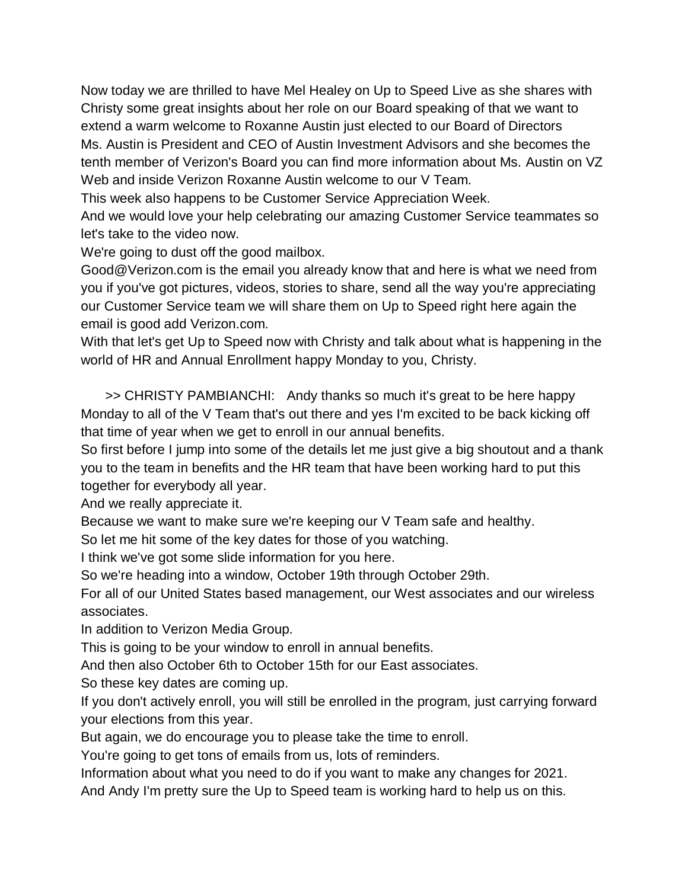Now today we are thrilled to have Mel Healey on Up to Speed Live as she shares with Christy some great insights about her role on our Board speaking of that we want to extend a warm welcome to Roxanne Austin just elected to our Board of Directors Ms. Austin is President and CEO of Austin Investment Advisors and she becomes the tenth member of Verizon's Board you can find more information about Ms. Austin on VZ Web and inside Verizon Roxanne Austin welcome to our V Team.

This week also happens to be Customer Service Appreciation Week.

And we would love your help celebrating our amazing Customer Service teammates so let's take to the video now.

We're going to dust off the good mailbox.

Good@Verizon.com is the email you already know that and here is what we need from you if you've got pictures, videos, stories to share, send all the way you're appreciating our Customer Service team we will share them on Up to Speed right here again the email is good add Verizon.com.

With that let's get Up to Speed now with Christy and talk about what is happening in the world of HR and Annual Enrollment happy Monday to you, Christy.

>> CHRISTY PAMBIANCHI: Andy thanks so much it's great to be here happy Monday to all of the V Team that's out there and yes I'm excited to be back kicking off that time of year when we get to enroll in our annual benefits.

So first before I jump into some of the details let me just give a big shoutout and a thank you to the team in benefits and the HR team that have been working hard to put this together for everybody all year.

And we really appreciate it.

Because we want to make sure we're keeping our V Team safe and healthy.

So let me hit some of the key dates for those of you watching.

I think we've got some slide information for you here.

So we're heading into a window, October 19th through October 29th.

For all of our United States based management, our West associates and our wireless associates.

In addition to Verizon Media Group.

This is going to be your window to enroll in annual benefits.

And then also October 6th to October 15th for our East associates.

So these key dates are coming up.

If you don't actively enroll, you will still be enrolled in the program, just carrying forward your elections from this year.

But again, we do encourage you to please take the time to enroll.

You're going to get tons of emails from us, lots of reminders.

Information about what you need to do if you want to make any changes for 2021.

And Andy I'm pretty sure the Up to Speed team is working hard to help us on this.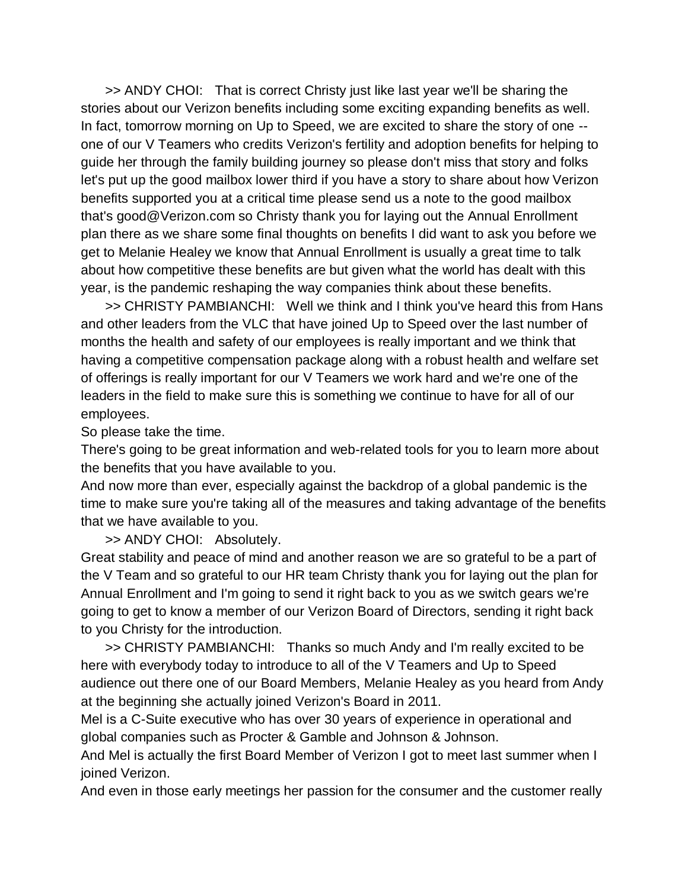>> ANDY CHOI: That is correct Christy just like last year we'll be sharing the stories about our Verizon benefits including some exciting expanding benefits as well. In fact, tomorrow morning on Up to Speed, we are excited to share the story of one - one of our V Teamers who credits Verizon's fertility and adoption benefits for helping to guide her through the family building journey so please don't miss that story and folks let's put up the good mailbox lower third if you have a story to share about how Verizon benefits supported you at a critical time please send us a note to the good mailbox that's good@Verizon.com so Christy thank you for laying out the Annual Enrollment plan there as we share some final thoughts on benefits I did want to ask you before we get to Melanie Healey we know that Annual Enrollment is usually a great time to talk about how competitive these benefits are but given what the world has dealt with this year, is the pandemic reshaping the way companies think about these benefits.

>> CHRISTY PAMBIANCHI: Well we think and I think you've heard this from Hans and other leaders from the VLC that have joined Up to Speed over the last number of months the health and safety of our employees is really important and we think that having a competitive compensation package along with a robust health and welfare set of offerings is really important for our V Teamers we work hard and we're one of the leaders in the field to make sure this is something we continue to have for all of our employees.

So please take the time.

There's going to be great information and web-related tools for you to learn more about the benefits that you have available to you.

And now more than ever, especially against the backdrop of a global pandemic is the time to make sure you're taking all of the measures and taking advantage of the benefits that we have available to you.

>> ANDY CHOI: Absolutely.

Great stability and peace of mind and another reason we are so grateful to be a part of the V Team and so grateful to our HR team Christy thank you for laying out the plan for Annual Enrollment and I'm going to send it right back to you as we switch gears we're going to get to know a member of our Verizon Board of Directors, sending it right back to you Christy for the introduction.

>> CHRISTY PAMBIANCHI: Thanks so much Andy and I'm really excited to be here with everybody today to introduce to all of the V Teamers and Up to Speed audience out there one of our Board Members, Melanie Healey as you heard from Andy at the beginning she actually joined Verizon's Board in 2011.

Mel is a C-Suite executive who has over 30 years of experience in operational and global companies such as Procter & Gamble and Johnson & Johnson.

And Mel is actually the first Board Member of Verizon I got to meet last summer when I joined Verizon.

And even in those early meetings her passion for the consumer and the customer really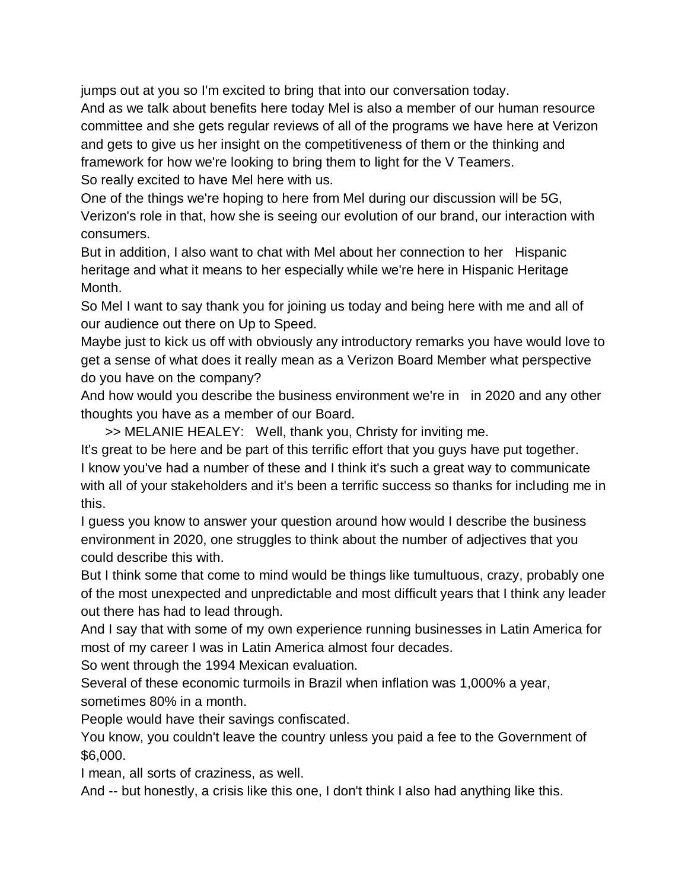jumps out at you so I'm excited to bring that into our conversation today.

And as we talk about benefits here today Mel is also a member of our human resource committee and she gets regular reviews of all of the programs we have here at Verizon and gets to give us her insight on the competitiveness of them or the thinking and framework for how we're looking to bring them to light for the V Teamers.

So really excited to have Mel here with us.

One of the things we're hoping to here from Mel during our discussion will be 5G, Verizon's role in that, how she is seeing our evolution of our brand, our interaction with consumers.

But in addition, I also want to chat with Mel about her connection to her Hispanic heritage and what it means to her especially while we're here in Hispanic Heritage Month.

So Mel I want to say thank you for joining us today and being here with me and all of our audience out there on Up to Speed.

Maybe just to kick us off with obviously any introductory remarks you have would love to get a sense of what does it really mean as a Verizon Board Member what perspective do you have on the company?

And how would you describe the business environment we're in in 2020 and any other thoughts you have as a member of our Board.

>> MELANIE HEALEY: Well, thank you, Christy for inviting me.

It's great to be here and be part of this terrific effort that you guys have put together. I know you've had a number of these and I think it's such a great way to communicate with all of your stakeholders and it's been a terrific success so thanks for including me in this.

I guess you know to answer your question around how would I describe the business environment in 2020, one struggles to think about the number of adjectives that you could describe this with.

But I think some that come to mind would be things like tumultuous, crazy, probably one of the most unexpected and unpredictable and most difficult years that I think any leader out there has had to lead through.

And I say that with some of my own experience running businesses in Latin America for most of my career I was in Latin America almost four decades.

So went through the 1994 Mexican evaluation.

Several of these economic turmoils in Brazil when inflation was 1,000% a year, sometimes 80% in a month.

People would have their savings confiscated.

You know, you couldn't leave the country unless you paid a fee to the Government of \$6,000.

I mean, all sorts of craziness, as well.

And -- but honestly, a crisis like this one, I don't think I also had anything like this.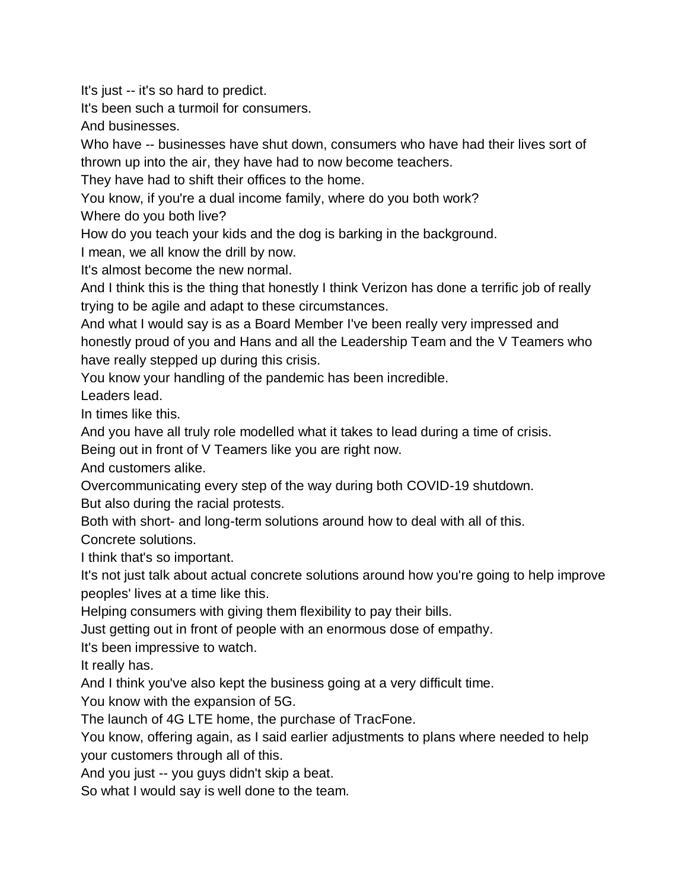It's just -- it's so hard to predict.

It's been such a turmoil for consumers.

And businesses.

Who have -- businesses have shut down, consumers who have had their lives sort of thrown up into the air, they have had to now become teachers.

They have had to shift their offices to the home.

You know, if you're a dual income family, where do you both work?

Where do you both live?

How do you teach your kids and the dog is barking in the background.

I mean, we all know the drill by now.

It's almost become the new normal.

And I think this is the thing that honestly I think Verizon has done a terrific job of really trying to be agile and adapt to these circumstances.

And what I would say is as a Board Member I've been really very impressed and honestly proud of you and Hans and all the Leadership Team and the V Teamers who have really stepped up during this crisis.

You know your handling of the pandemic has been incredible.

Leaders lead.

In times like this.

And you have all truly role modelled what it takes to lead during a time of crisis.

Being out in front of V Teamers like you are right now.

And customers alike.

Overcommunicating every step of the way during both COVID-19 shutdown.

But also during the racial protests.

Both with short- and long-term solutions around how to deal with all of this.

Concrete solutions.

I think that's so important.

It's not just talk about actual concrete solutions around how you're going to help improve peoples' lives at a time like this.

Helping consumers with giving them flexibility to pay their bills.

Just getting out in front of people with an enormous dose of empathy.

It's been impressive to watch.

It really has.

And I think you've also kept the business going at a very difficult time.

You know with the expansion of 5G.

The launch of 4G LTE home, the purchase of TracFone.

You know, offering again, as I said earlier adjustments to plans where needed to help your customers through all of this.

And you just -- you guys didn't skip a beat.

So what I would say is well done to the team.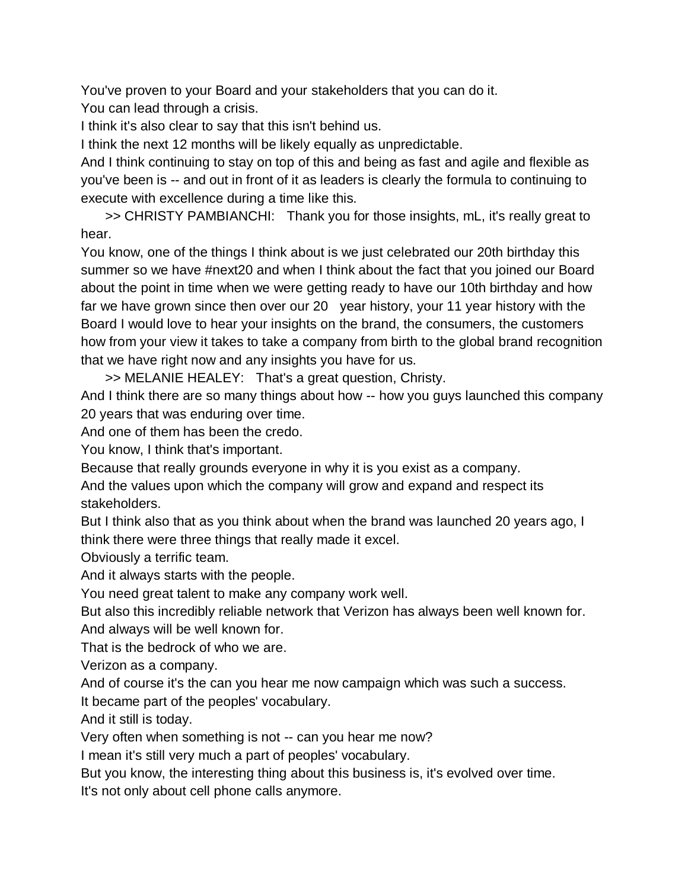You've proven to your Board and your stakeholders that you can do it. You can lead through a crisis.

I think it's also clear to say that this isn't behind us.

I think the next 12 months will be likely equally as unpredictable.

And I think continuing to stay on top of this and being as fast and agile and flexible as you've been is -- and out in front of it as leaders is clearly the formula to continuing to execute with excellence during a time like this.

>> CHRISTY PAMBIANCHI: Thank you for those insights, mL, it's really great to hear.

You know, one of the things I think about is we just celebrated our 20th birthday this summer so we have #next20 and when I think about the fact that you joined our Board about the point in time when we were getting ready to have our 10th birthday and how far we have grown since then over our 20 year history, your 11 year history with the Board I would love to hear your insights on the brand, the consumers, the customers how from your view it takes to take a company from birth to the global brand recognition that we have right now and any insights you have for us.

>> MELANIE HEALEY: That's a great question, Christy.

And I think there are so many things about how -- how you guys launched this company 20 years that was enduring over time.

And one of them has been the credo.

You know, I think that's important.

Because that really grounds everyone in why it is you exist as a company.

And the values upon which the company will grow and expand and respect its stakeholders.

But I think also that as you think about when the brand was launched 20 years ago, I think there were three things that really made it excel.

Obviously a terrific team.

And it always starts with the people.

You need great talent to make any company work well.

But also this incredibly reliable network that Verizon has always been well known for. And always will be well known for.

That is the bedrock of who we are.

Verizon as a company.

And of course it's the can you hear me now campaign which was such a success.

It became part of the peoples' vocabulary.

And it still is today.

Very often when something is not -- can you hear me now?

I mean it's still very much a part of peoples' vocabulary.

But you know, the interesting thing about this business is, it's evolved over time.

It's not only about cell phone calls anymore.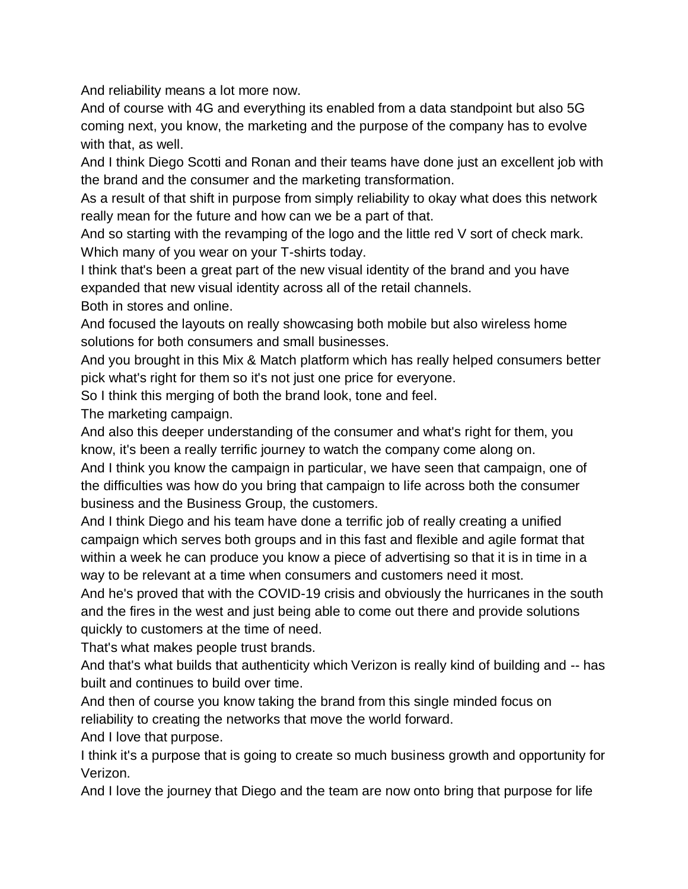And reliability means a lot more now.

And of course with 4G and everything its enabled from a data standpoint but also 5G coming next, you know, the marketing and the purpose of the company has to evolve with that, as well.

And I think Diego Scotti and Ronan and their teams have done just an excellent job with the brand and the consumer and the marketing transformation.

As a result of that shift in purpose from simply reliability to okay what does this network really mean for the future and how can we be a part of that.

And so starting with the revamping of the logo and the little red V sort of check mark. Which many of you wear on your T-shirts today.

I think that's been a great part of the new visual identity of the brand and you have expanded that new visual identity across all of the retail channels.

Both in stores and online.

And focused the layouts on really showcasing both mobile but also wireless home solutions for both consumers and small businesses.

And you brought in this Mix & Match platform which has really helped consumers better pick what's right for them so it's not just one price for everyone.

So I think this merging of both the brand look, tone and feel.

The marketing campaign.

And also this deeper understanding of the consumer and what's right for them, you know, it's been a really terrific journey to watch the company come along on.

And I think you know the campaign in particular, we have seen that campaign, one of the difficulties was how do you bring that campaign to life across both the consumer business and the Business Group, the customers.

And I think Diego and his team have done a terrific job of really creating a unified campaign which serves both groups and in this fast and flexible and agile format that within a week he can produce you know a piece of advertising so that it is in time in a way to be relevant at a time when consumers and customers need it most.

And he's proved that with the COVID-19 crisis and obviously the hurricanes in the south and the fires in the west and just being able to come out there and provide solutions quickly to customers at the time of need.

That's what makes people trust brands.

And that's what builds that authenticity which Verizon is really kind of building and -- has built and continues to build over time.

And then of course you know taking the brand from this single minded focus on reliability to creating the networks that move the world forward.

And I love that purpose.

I think it's a purpose that is going to create so much business growth and opportunity for Verizon.

And I love the journey that Diego and the team are now onto bring that purpose for life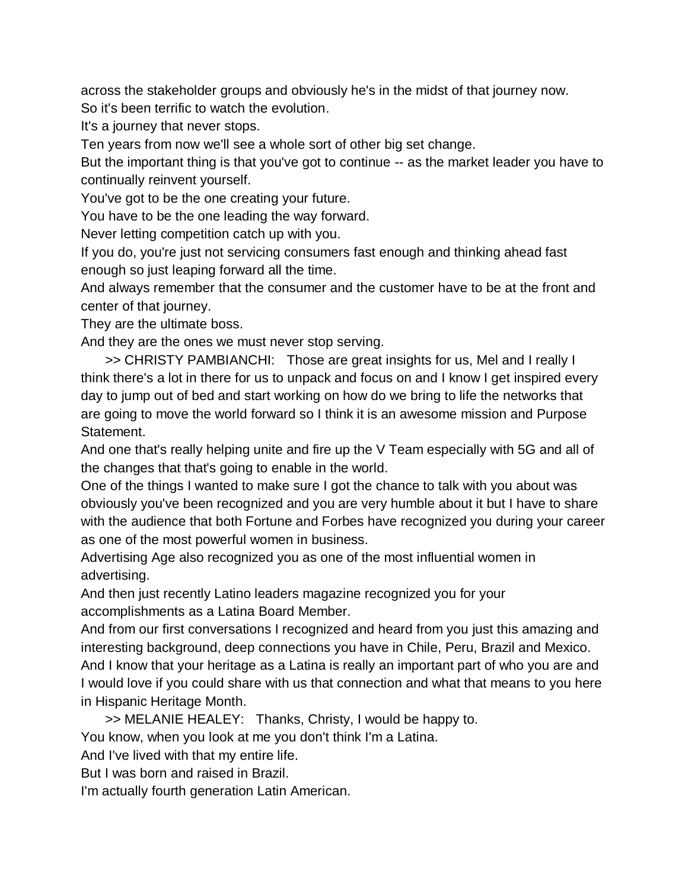across the stakeholder groups and obviously he's in the midst of that journey now. So it's been terrific to watch the evolution.

It's a journey that never stops.

Ten years from now we'll see a whole sort of other big set change.

But the important thing is that you've got to continue -- as the market leader you have to continually reinvent yourself.

You've got to be the one creating your future.

You have to be the one leading the way forward.

Never letting competition catch up with you.

If you do, you're just not servicing consumers fast enough and thinking ahead fast enough so just leaping forward all the time.

And always remember that the consumer and the customer have to be at the front and center of that journey.

They are the ultimate boss.

And they are the ones we must never stop serving.

>> CHRISTY PAMBIANCHI: Those are great insights for us, Mel and I really I think there's a lot in there for us to unpack and focus on and I know I get inspired every day to jump out of bed and start working on how do we bring to life the networks that are going to move the world forward so I think it is an awesome mission and Purpose Statement.

And one that's really helping unite and fire up the V Team especially with 5G and all of the changes that that's going to enable in the world.

One of the things I wanted to make sure I got the chance to talk with you about was obviously you've been recognized and you are very humble about it but I have to share with the audience that both Fortune and Forbes have recognized you during your career as one of the most powerful women in business.

Advertising Age also recognized you as one of the most influential women in advertising.

And then just recently Latino leaders magazine recognized you for your accomplishments as a Latina Board Member.

And from our first conversations I recognized and heard from you just this amazing and interesting background, deep connections you have in Chile, Peru, Brazil and Mexico. And I know that your heritage as a Latina is really an important part of who you are and I would love if you could share with us that connection and what that means to you here in Hispanic Heritage Month.

>> MELANIE HEALEY: Thanks, Christy, I would be happy to.

You know, when you look at me you don't think I'm a Latina.

And I've lived with that my entire life.

But I was born and raised in Brazil.

I'm actually fourth generation Latin American.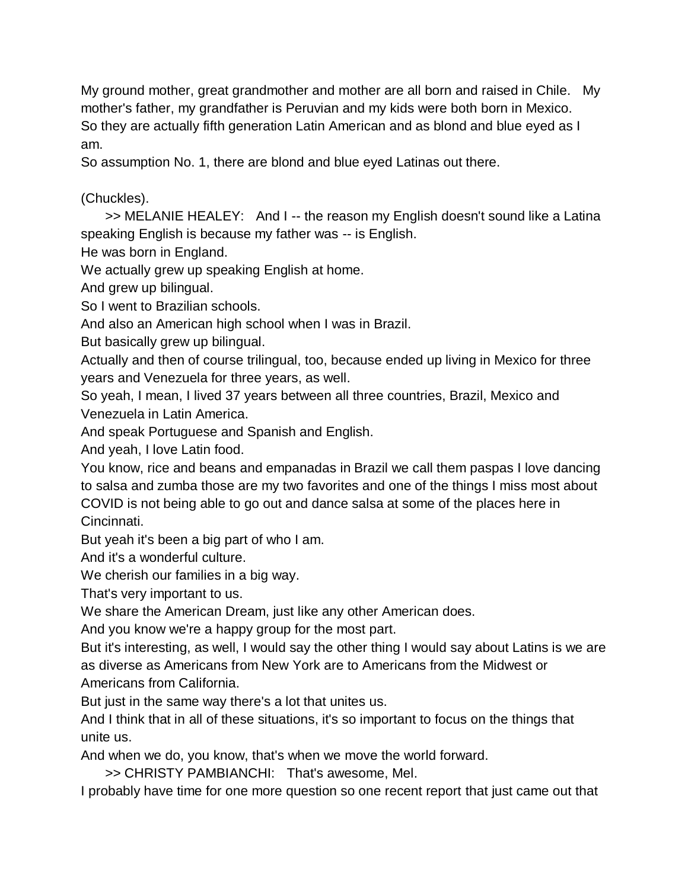My ground mother, great grandmother and mother are all born and raised in Chile. My mother's father, my grandfather is Peruvian and my kids were both born in Mexico. So they are actually fifth generation Latin American and as blond and blue eyed as I am.

So assumption No. 1, there are blond and blue eyed Latinas out there.

## (Chuckles).

>> MELANIE HEALEY: And I -- the reason my English doesn't sound like a Latina speaking English is because my father was -- is English.

He was born in England.

We actually grew up speaking English at home.

And grew up bilingual.

So I went to Brazilian schools.

And also an American high school when I was in Brazil.

But basically grew up bilingual.

Actually and then of course trilingual, too, because ended up living in Mexico for three years and Venezuela for three years, as well.

So yeah, I mean, I lived 37 years between all three countries, Brazil, Mexico and Venezuela in Latin America.

And speak Portuguese and Spanish and English.

And yeah, I love Latin food.

You know, rice and beans and empanadas in Brazil we call them paspas I love dancing to salsa and zumba those are my two favorites and one of the things I miss most about COVID is not being able to go out and dance salsa at some of the places here in Cincinnati.

But yeah it's been a big part of who I am.

And it's a wonderful culture.

We cherish our families in a big way.

That's very important to us.

We share the American Dream, just like any other American does.

And you know we're a happy group for the most part.

But it's interesting, as well, I would say the other thing I would say about Latins is we are as diverse as Americans from New York are to Americans from the Midwest or Americans from California.

But just in the same way there's a lot that unites us.

And I think that in all of these situations, it's so important to focus on the things that unite us.

And when we do, you know, that's when we move the world forward.

>> CHRISTY PAMBIANCHI: That's awesome, Mel.

I probably have time for one more question so one recent report that just came out that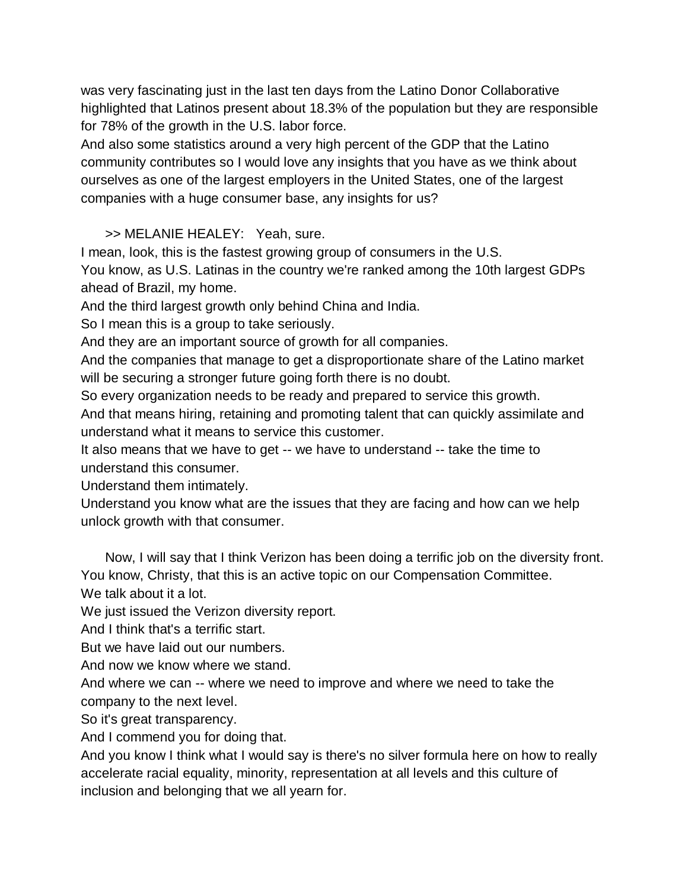was very fascinating just in the last ten days from the Latino Donor Collaborative highlighted that Latinos present about 18.3% of the population but they are responsible for 78% of the growth in the U.S. labor force.

And also some statistics around a very high percent of the GDP that the Latino community contributes so I would love any insights that you have as we think about ourselves as one of the largest employers in the United States, one of the largest companies with a huge consumer base, any insights for us?

>> MELANIE HEALEY: Yeah, sure.

I mean, look, this is the fastest growing group of consumers in the U.S.

You know, as U.S. Latinas in the country we're ranked among the 10th largest GDPs ahead of Brazil, my home.

And the third largest growth only behind China and India.

So I mean this is a group to take seriously.

And they are an important source of growth for all companies.

And the companies that manage to get a disproportionate share of the Latino market will be securing a stronger future going forth there is no doubt.

So every organization needs to be ready and prepared to service this growth.

And that means hiring, retaining and promoting talent that can quickly assimilate and understand what it means to service this customer.

It also means that we have to get -- we have to understand -- take the time to understand this consumer.

Understand them intimately.

Understand you know what are the issues that they are facing and how can we help unlock growth with that consumer.

Now, I will say that I think Verizon has been doing a terrific job on the diversity front. You know, Christy, that this is an active topic on our Compensation Committee. We talk about it a lot.

We just issued the Verizon diversity report.

And I think that's a terrific start.

But we have laid out our numbers.

And now we know where we stand.

And where we can -- where we need to improve and where we need to take the company to the next level.

So it's great transparency.

And I commend you for doing that.

And you know I think what I would say is there's no silver formula here on how to really accelerate racial equality, minority, representation at all levels and this culture of inclusion and belonging that we all yearn for.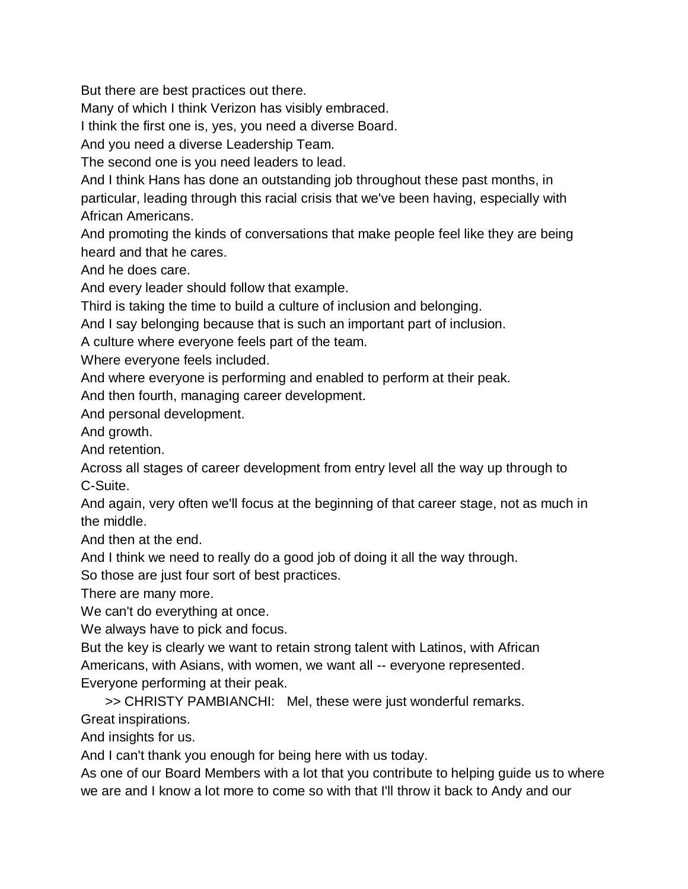But there are best practices out there.

Many of which I think Verizon has visibly embraced.

I think the first one is, yes, you need a diverse Board.

And you need a diverse Leadership Team.

The second one is you need leaders to lead.

And I think Hans has done an outstanding job throughout these past months, in particular, leading through this racial crisis that we've been having, especially with African Americans.

And promoting the kinds of conversations that make people feel like they are being heard and that he cares.

And he does care.

And every leader should follow that example.

Third is taking the time to build a culture of inclusion and belonging.

And I say belonging because that is such an important part of inclusion.

A culture where everyone feels part of the team.

Where everyone feels included.

And where everyone is performing and enabled to perform at their peak.

And then fourth, managing career development.

And personal development.

And growth.

And retention.

Across all stages of career development from entry level all the way up through to C-Suite.

And again, very often we'll focus at the beginning of that career stage, not as much in the middle.

And then at the end.

And I think we need to really do a good job of doing it all the way through.

So those are just four sort of best practices.

There are many more.

We can't do everything at once.

We always have to pick and focus.

But the key is clearly we want to retain strong talent with Latinos, with African Americans, with Asians, with women, we want all -- everyone represented. Everyone performing at their peak.

>> CHRISTY PAMBIANCHI: Mel, these were just wonderful remarks.

Great inspirations.

And insights for us.

And I can't thank you enough for being here with us today.

As one of our Board Members with a lot that you contribute to helping guide us to where we are and I know a lot more to come so with that I'll throw it back to Andy and our